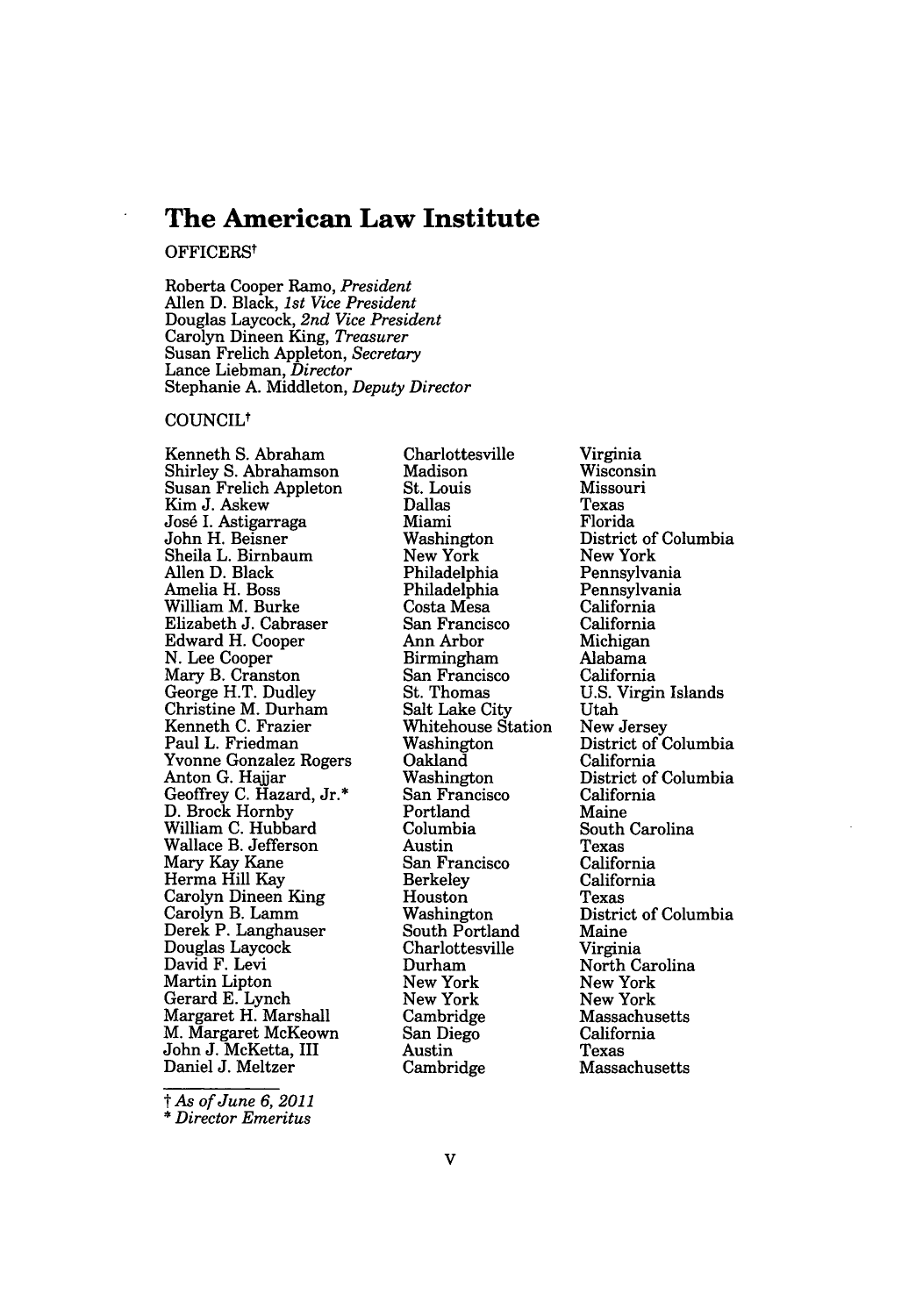# **The American Law Institute**

# OFFICERSt

Roberta Cooper Ramo, *President* Allen D. Black, *1st Vice President* Douglas Laycock, *2nd Vice President* Carolyn Dineen King, *Treasurer* Susan Frelich Appleton, *Secretary* Lance Liebman, *Director* Stephanie A. Middleton, *Deputy Director*

# COUNCILt

Kenneth S. Abraham Shirley **S.** Abrahamson Susan Frelich Appleton Kim J. Askew Jos6 I. Astigarraga John H. Beisner Sheila L. Birnbaum Allen D. Black Amelia H. Boss William M. Burke Elizabeth J. Cabraser Edward H. Cooper N. Lee Cooper Mary B. Cranston George H.T. Dudley Christine M. Durham Kenneth C. Frazier Paul L. Friedman Yvonne Gonzalez Rogers Anton G. Haijar Geoffrey C. Hazard, Jr.\* D. Brock Hornby William C. Hubbard Wallace B. Jefferson Mary Kay Kane Herma Hill Kay Carolyn Dineen King Carolyn B. Lamm Derek P. Langhauser Douglas Laycock David F. Levi Martin Lipton Gerard E. Lynch Margaret H. Marshall M. Margaret McKeown John J. McKetta, III Daniel J. Meltzer

*t As of June 6, 2011* \* *Director Emeritus*

Charlottesville Madison St. Louis Dallas Miami Washington New York Philadelphia Philadelphia Costa Mesa San Francisco Ann Arbor Birmingham San Francisco St. Thomas Salt Lake City Whitehouse Station Washington Oakland Washington San Francisco Portland Columbia Austin San Francisco **Berkeley** Houston Washington South Portland Charlottesville Durham New York New York Cambridge San Diego Austin Cambridge

Virginia Wisconsin Missouri Texas Florida District of Columbia New York Pennsylvania Pennsylvania California California Michigan Alabama California U.S. Virgin Islands Utah New Jersey District of Columbia California District of Columbia California Maine South Carolina Texas California California Texas District of Columbia Maine Virginia North Carolina New York New York Massachusetts California Texas Massachusetts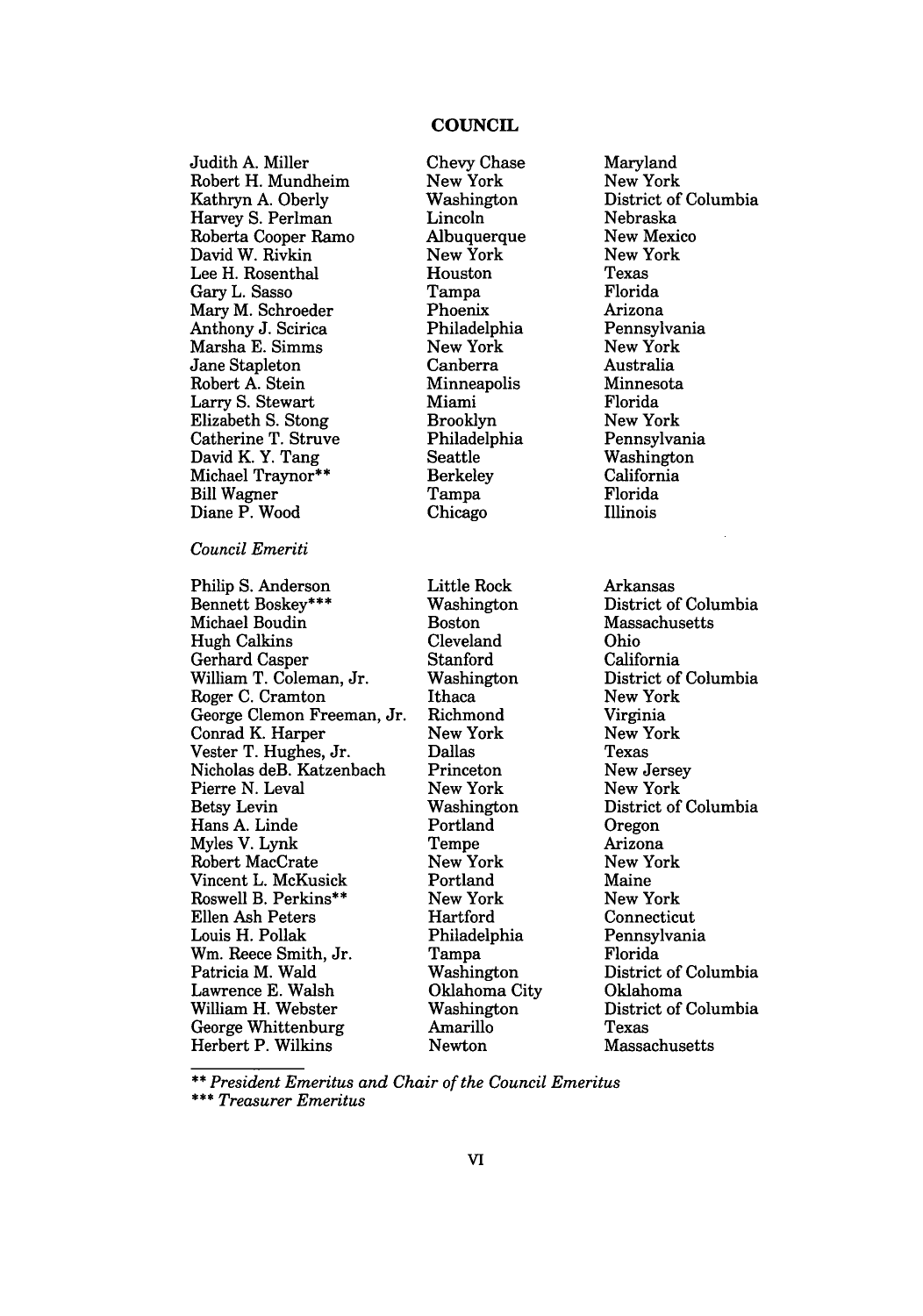# **COUNCIL**

Judith A. Miller Robert H. Mundheim Kathryn A. Oberly Harvey S. Perlman Roberta Cooper Ramo David W. Rivkin Lee H. Rosenthal Gary L. Sasso Mary M. Schroeder Anthony J. Scirica Marsha E. Simms Jane Stapleton Robert A. Stein Larry S. Stewart Elizabeth S. Stong Catherine T. Struve David K. Y. Tang Michael Traynor\*\* Bill Wagner Diane P. Wood *Council Emeriti* Philip S. Anderson Bennett Boskey\*\*\* Michael Boudin Hugh Calkins Gerhard Casper William T. Coleman, Jr. Roger C. Cramton George Clemon Freeman, Jr. Conrad K. Harper Vester T. Hughes, Jr. Nicholas deB. Katzenbach Pierre N. Leval Betsy Levin Hans A. Linde Myles V. Lynk Robert MacCrate Vincent L. McKusick Roswell B. Perkins\*\* Ellen Ash Peters

Chevy Chase New York Washington Lincoln **Albuquerque** New York Houston Tampa Phoenix Philadelphia New York Canberra Minneapolis Miami Brooklyn Philadelphia Seattle Berkeley Tampa Chicago Little Rock Washington Boston Cleveland Stanford Washington Ithaca Richmond New York Dallas Princeton New York Washington Portland Tempe New York Portland New York Hartford Philadelphia Tampa Washington Oklahoma City Washington Amarillo Newton

Maryland New York District of Columbia Nebraska New Mexico New York Texas Florida Arizona Pennsylvania New York Australia Minnesota Florida New York Pennsylvania Washington California Florida Illinois Arkansas District of Columbia Massachusetts Ohio California District of Columbia New York Virginia New York Texas New Jersey New York District of Columbia Oregon Arizona New York Maine New York Connecticut Pennsylvania Florida District of Columbia Oklahoma District of Columbia

Texas Massachusetts

*\*\* President Emeritus and Chair of the Council Emeritus*

*\*\*\* Treasurer Emeritus*

Louis H. Pollak Wm. Reece Smith, Jr. Patricia M. Wald Lawrence E. Walsh William H. Webster George Whittenburg Herbert P. Wilkins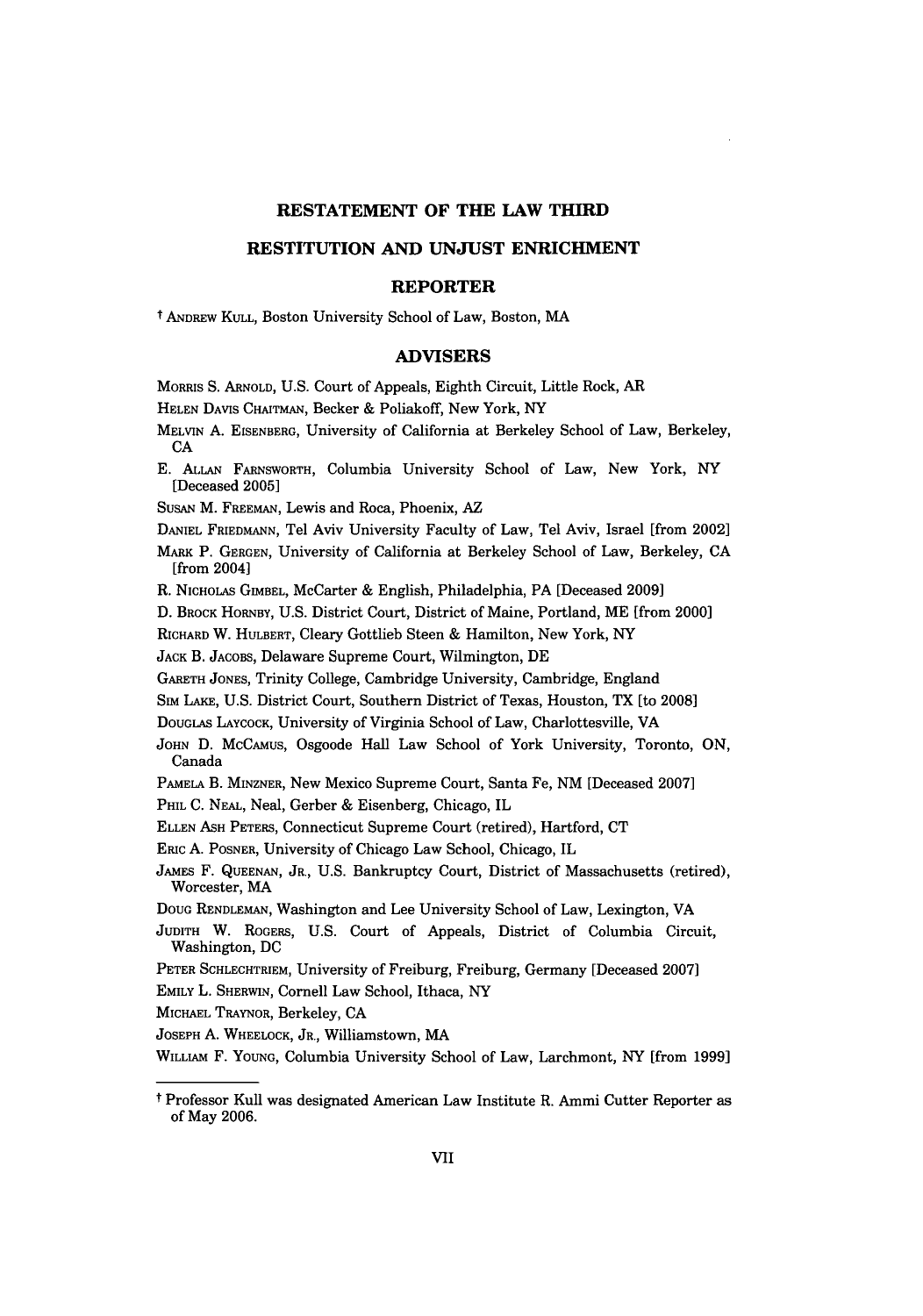## **RESTATEMENT OF THE LAW THIRD**

## **RESTITUTION AND UNJUST ENRICHMENT**

#### **REPORTER**

t ANDREW **KULL,** Boston University School of Law, Boston, MA

# **ADVISERS**

MoRIS **S.** ARNOLD, **U.S.** Court of Appeals, Eighth Circuit, Little Rock, AR

**HELEN** DAVIS CHAITMAN, Becker **&** Poliakoff, New York, NY

- MELVIN **A. EISENBERG,** University of California at Berkeley School of Law, Berkeley, **CA**
- **E. ALLAN** FARNSWORTH, Columbia University School of Law, New York, NY [Deceased **2005]**

SUSAN M. FREEMAN, Lewis and Roca, Phoenix, AZ

DANIEL **FRIEDMANN,** Tel Aviv University Faculty of Law, Tel Aviv, Israel [from 2002]

**MARK** P. **GERGEN,** University of California at Berkeley School of Law, Berkeley, **CA** [from 2004]

R. NICHOLAS GIMBEL, McCarter **&** English, Philadelphia, PA [Deceased **2009]**

**D.** BROCK HoaRBY, **U.S.** District Court, District of Maine, Portland, ME [from 2000]

RICHARD W. HULBERT, Cleary Gottlieb Steen **&** Hamilton, New York, NY

**JACK** B. **JACOBS,** Delaware Supreme Court, Wilmington, **DE**

GARETH JONES, Trinity College, Cambridge University, Cambridge, England

**Sim** LAKE, **U.S.** District Court, Southern District of Texas, Houston, TX [to **2008]**

DOUGLAS LAYCOCK, University of Virginia School of Law, Charlottesville, VA

- **JOHN D.** MCCAMuS, Osgoode Hall Law School of York University, Toronto, **ON,** Canada
- **PAMELA** B. MINZNER, New Mexico Supreme Court, Santa Fe, **NM** [Deceased **2007]**

PHIL **C. NEAL,** Neal, Gerber **&** Eisenberg, Chicago, IL

**ELLEN ASH** PETERS, Connecticut Supreme Court (retired), Hartford, **CT**

**ERIC A.** POSNER, University of Chicago Law School, Chicago, IL

JAMES F. **QUEENAN,** JR., **U.S.** Bankruptcy Court, District of Massachusetts (retired), Worcester, MA

**DOUG RENDLEMAN,** Washington and Lee University School of Law, Lexington, VA

JUDITH W. ROGERS, **U.S.** Court of Appeals, District of Columbia Circuit, Washington, **DC**

PETER SCHLECHTRIEM, University of Freiburg, Freiburg, Germany [Deceased **2007]**

EMILY L. SHERWIN, Cornell Law School, Ithaca, NY

**MICHAEL** TRAYNOR, Berkeley, **CA**

**JOSEPH A.** WHEELOCK, JR., Williamstown, MA

WILLIAM F. **YOUNG,** Columbia University School of Law, Larchmont, NY [from **1999]**

t Professor Kull was designated American Law Institute R. Ammi Cutter Reporter as of May **2006.**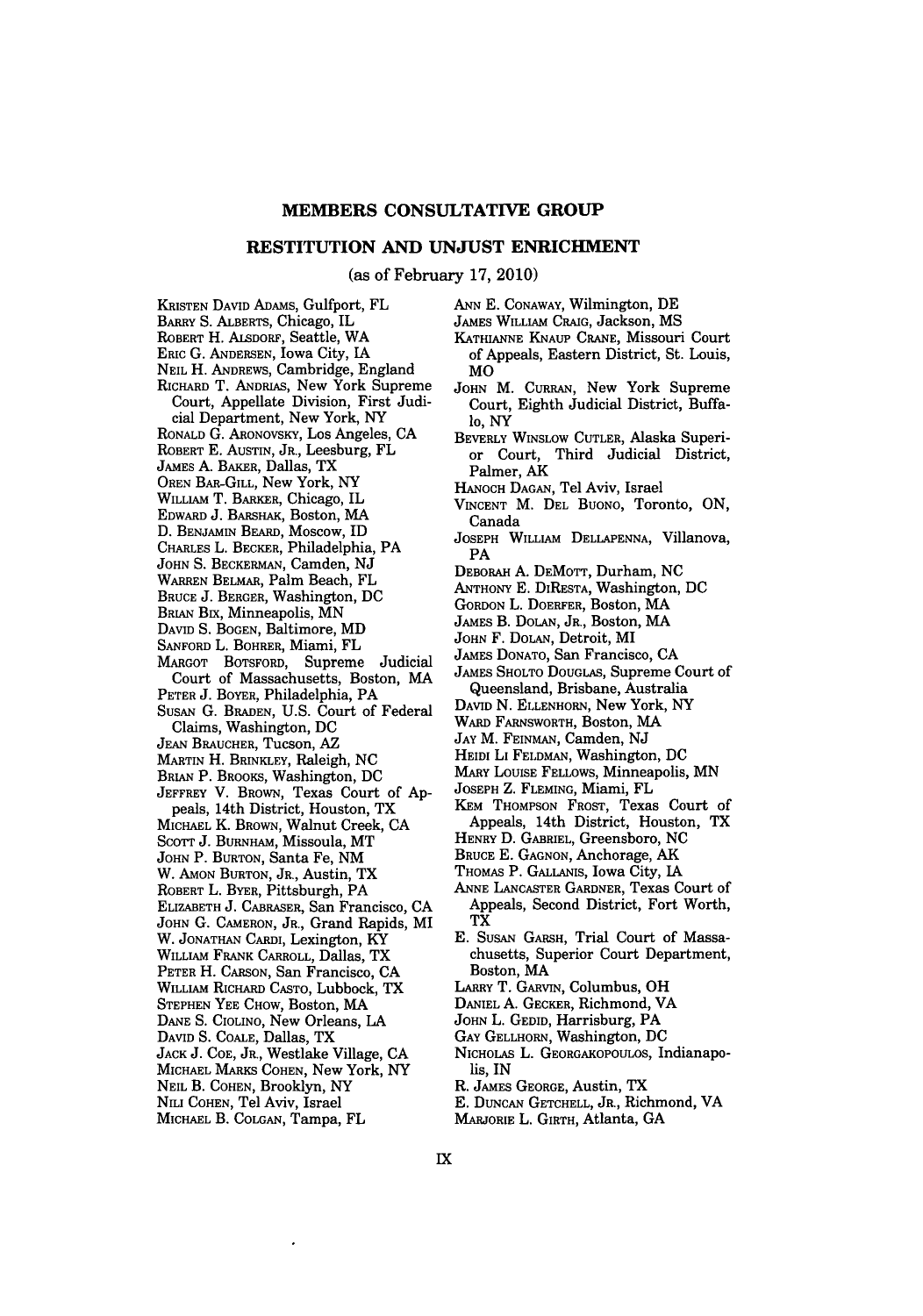#### MEMBERS **CONSULTATIVE** GROUP

## **RESTITUTION AND UNJUST ENRICHMENT**

(as of February **17,** 2010)

- KRISTEN DAVID ADAMS, Gulfport, FL
- BARRY **S.** ALBERTS, Chicago, IL
- ROBERT H. **AiSDORF,** Seattle, WA
- ERIC **G.** ANDERSEN, Iowa City, IA
- NEIL H. ANDREWS, Cambridge, England
- RICHARD T. ANDRIAS, New York Supreme
- Court, Appellate Division, First Judicial Department, New York, NY
- RONALD **G.** ARONOVSKY, Los Angeles, **CA**
- ROBERT E. AUSTIN, JR., Leesburg, FL
- 
- JAMES A. BAKER, Dallas, TX
- OREN BAR-GILL, New York, NY
- WILLIAM T. BARKER, Chicago, IL
- EDWARD J. BARsHAK, Boston, MA
- D. BENJAMIN BEARD, Moscow, ID
- CHARLES L. BECKER, Philadelphia, PA
- JOHN **S.** BECKERMAN, Camden, NJ
- WARREN BELMAR, Palm Beach, FL
- BRUCE **J.** BERGER, Washington, DC
- BRIAN Bix, Minneapolis, MN
- 
- DAVID **S.** BOGEN, Baltimore, MD
- SANFORD L. BOHRER, Miami, FL
- MARGOT BOTSFORD, Supreme Judicial Court of Massachusetts, Boston, MA
- PETER **J.** BOYER, Philadelphia, PA
- SUSAN G. BRADEN, **U.S.** Court of Federal Claims, Washington, DC
- **JEAN** BRAUCHER, Tucson, AZ
- MARTIN H. BRINKLEY, Raleigh, **NC**
- BRIAN P. BROOKS, Washington, DC
- JEFFREY V. BROWN, Texas Court of Appeals, 14th District, Houston, TX
- MICHAEL K. BROWN, Walnut Creek, CA
- Scott J. Burnham, Missoula, MT
- JOHN P. BURTON, Santa Fe, NM
- W. AMON BURTON, JR., Austin, TX
- ROBERT L. BYER, Pittsburgh, PA
- ELIZABETH **J.** CABRASER, San Francisco, CA
- JOHN **G.** CAMERON, JR., Grand Rapids, MI
- W. JONATHAN CARDI, Lexington, KY
- WILLIAM FRANK CARROLL, Dallas, TX
- PETER H. CARSON, San Francisco, CA
- WILLIAM RICHARD CASTO, Lubbock, TX
- STEPHEN YEE CHOW, Boston, MA
- DANE S. CIOLINO, New Orleans, LA
- DAVID **S. COALE,** Dallas, TX
- **JACK J. COE,** JR., Westlake Village, **CA**
- **MICHAEL** MARKS **COHEN,** New York, NY
- NEIL B. **COHEN,** Brooklyn, NY
- NU **COHEN,** Tel Aviv, Israel
- MICHAEL B. **COLGAN,** Tampa, FL
- ANN E. CONAWAY, Wilmington, DE
- JAMES WILLIAM CRAIG, Jackson, MS
- KATHIANNE KNAUP **CRANE,** Missouri Court of Appeals, Eastern District, St. Louis, MO
- JOHN M. CURRAN, New York Supreme Court, Eighth Judicial District, Buffalo, NY
- BEVERLY WINSLOW CUTLER, Alaska Superior Court, Third Judicial District, Palmer, AK
- HANOCH **DAGAN,** Tel Aviv, Israel
- VINCENT M. **DEL** BUONO, Toronto, ON, Canada
- JOSEPH WILLIAM DELLAPENNA, Villanova, PA
- DEBORAH **A.** DEMOTT, Durham, **NC**
- ANTHONY **E.** DIRESTA, Washington, DC
- GORDON L. DOERFER, Boston, MA
- JAMES B. DOLAN, JR., Boston, MA
- JOHN F. DOLAN, Detroit, MI
- JAMES DONATO, San Francisco, CA
- JAMES SHOLTO DOUGLAS, Supreme Court of Queensland, Brisbane, Australia
- DAVID N. ELLENHORN, New York, NY
- WARD FARNSWORTH, Boston, MA
- **JAY** M. FEINMAN, Camden, **NJ**
- HEIDI LI **FELDMAN,** Washington, **DC**
- MARY LoUISE FELLOWS, Minneapolis, MN
- JOSEPH Z. FLEMING, Miami, FL
- KEM THOMPSON FROST, Texas Court of Appeals, 14th District, Houston, TX
- HENRY D. GABRIEL, Greensboro, **NC**
- BRUCE **E. GAGNON,** Anchorage, AK
- THOMAS P. GALLANIS, Iowa City, **IA**
- ANNE LANCASTER GARDNER, Texas Court of Appeals, Second District, Fort Worth, TX
- E. SUSAN GARSH, Trial Court of Massachusetts, Superior Court Department, Boston, MA
- LARRY T. GARVIN, Columbus, OH
- DANIEL A. GECKER, Richmond, VA
- JOHN L. GEDID, Harrisburg, PA
- **GAY** GELLHORN, Washington, **DC**
- NICHOLAS L. **GEORGAKOPOULOS,** Indianapolis, IN
- R. JAMES **GEORGE,** Austin, TX
- E. DUNCAN GETCHELL, JR., Richmond, VA
- MARJORIE L. GIRTH, Atlanta, GA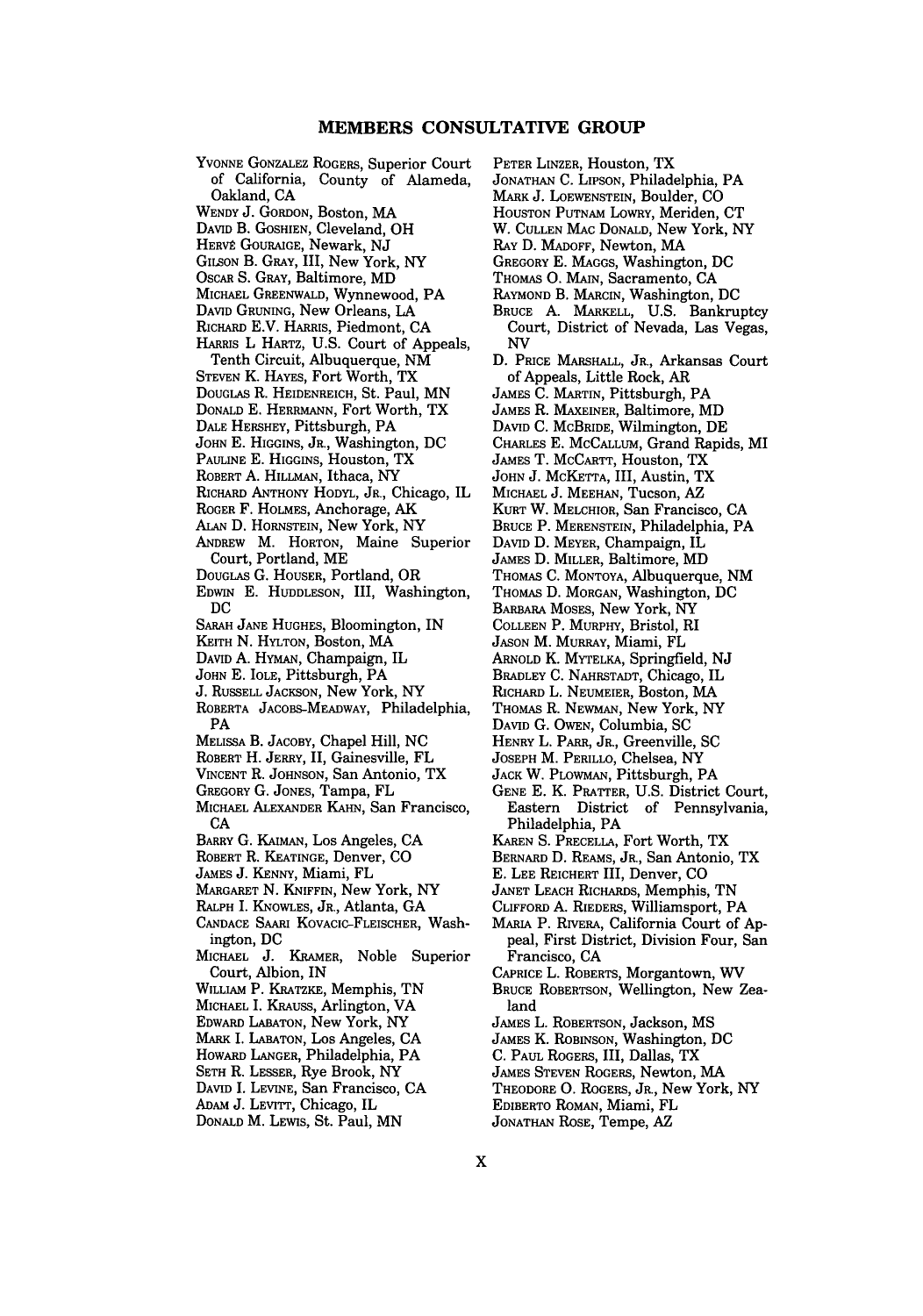YVONNE GONZALEZ ROGERS, Superior Court of California, County of Alameda, Oakland, CA

WENDY J. GORDON, Boston, MA

- DAVID B. GOSHIEN, Cleveland, OH
- HERVÉ GOURAIGE, Newark, NJ
- GILSON B. **GRAY,** III, New York, NY
- OSCAR **S.** GRAY, Baltimore, MD
- MICHAEL GREENWALD, Wynnewood, PA
- DAVID GRUNING, New Orleans, LA
- RICHARD E.V. HARRIS, Piedmont, CA
- HARRIS L HARTZ, U.S. Court of Appeals,
- 
- STEVEN K. HAYES, Fort Worth, TX
- DOUGLAS R. HEIDENREICH, St. Paul, MN
- DONALD E. HERRMANN, Fort Worth, TX
- DALE HERSHEY, Pittsburgh, PA
- JOHN E. HIGGINS, JR., Washington, DC
- PAULINE E. HIGGINS, Houston, TX
- ROBERT A. HILLMAN, Ithaca, NY
- RICHARD ANTHONY HODYL, JR., Chicago, IL
- ROGER F. HOLMES, Anchorage, AK
- ALAN D. HORNSTEIN, New York, NY
- ANDREW M. HORTON, Maine Superior
- DOUGLAS G. HOUSER, Portland, OR
- EDWIN E. HUDDLESON, III, Washington, DC
- SARAH JANE HUGHES, Bloomington, IN
- KEITH N. HYLTON, Boston, MA
- DAVID A. HYMAN, Champaign, IL
- JOHN E. IOLE, Pittsburgh, PA
- J. RUSSELL JACKSON, New York, NY
- ROBERTA JACOBS-MEADWAY, Philadelphia, PA
- MELISSA B. JACOBY, Chapel Hill, NC
- ROBERT H. JERRY, II, Gainesville, FL
- VINCENT R. JOHNSON, San Antonio, TX
- GREGORY G. JONES, Tampa, FL
- MICHAEL ALEXANDER **KAHN,** San Francisco, CA
- BARRY G. KAimAN, Los Angeles, CA
- ROBERT R. KEATINGE, Denver, CO
- JAMES J. KENNY, Miami, FL
- MARGARET N. KNIFFIN, New York, NY
- RALPH I. KNOWLES, JR., Atlanta, GA
- CANDACE SAARI KOVACIC-FLEISCHER, Washington, DC
- MICHAEL J. KRAMER, Noble Superior Court, Albion, IN
- WILLIAM P. KRATZKE, Memphis, TN
- MICHAEL I. KRAUSS, Arlington, VA
- EDWARD LABATON, New York, NY
- MARK I. LARATON, Los Angeles, CA
- HOWARD LANGER, Philadelphia, PA
- SETH R. LESSER, Rye Brook, NY
- DAVID I. LEVINE, San Francisco, CA
- ADAM J. LEVITT, Chicago, IL
- **DONALD** M. LEWIS, St. Paul, MN
- PETER LINZER, Houston, TX
- JONATHAN C. LIPSON, Philadelphia, PA
- MARK J. LOEWENSTEIN, Boulder, CO
- HOUSTON PUTNAM LOWRY, Meriden, CT
- W. CULLEN MAc DONALD, New York, NY
- RAY **D.** MADOFF, Newton, MA
- GREGORY E. MAGGS, Washington, DC
- THOMAS O. MAIN, Sacramento, CA<br>RAYMOND B. MARCIN, Washington, DC
- 
- BRUCE A. MARKELL, U.S. Bankruptcy Court, District of Nevada, Las Vegas, NV
- **D.** PRICE MARSHALL, JR., Arkansas Court of Appeals, Little Rock, AR
- JAMES **C.** MARTIN, Pittsburgh, PA
- JAMES R. MAXEINER, Baltimore, MD
- **DAVID C.** McBRIDE, Wilmington, **DE**
- CHARLES **E.** MCCALLUM, Grand Rapids, MI
- JAMES T. MCCARTT, Houston, TX
- **JOHN J.** McKETTA, III, Austin, TX
- MICHAEL **J. MEEHAN,** Tucson, AZ
- KURT W. MELCHIOR, San Francisco, **CA**
- BRUCE P. MERENSTEIN, Philadelphia, PA
- DAVID D. MEYER, Champaign, IL
- JAMES **D.** MILLER, Baltimore, MD
- THOMAS **C.** MONTOYA, Albuquerque, NM
- THOMAS D. MORGAN, Washington, DC
- BARBARA MOSES, New York, NY
- COLLEEN P. MURPHY, Bristol, RI
- JASON M. MURRAY, Miami, FL ARNOLD K. MYTELKA, Springfield, NJ
- 
- BRADLEY C. NAHRSTADT, Chicago, IL RICHARD L. NEUMEIER, Boston, MA
- THOMAS R. NEWMAN, New York, NY
- DAVID G. OWEN, Columbia, SC
- HENRY L. PARR, JR., Greenville, SC
- **JOSEPH** M. PERILLO, Chelsea, NY
- JACK W. PLOWMAN, Pittsburgh, PA
- GENE E. K. PRATTER, U.S. District Court,<br>Eastern District of Pennsylvania, Eastern District Philadelphia, PA
- KAREN **S.** PRECELLA, Fort Worth, TX
- BERNARD D. REAMS, JR., San Antonio, TX
- **E. LEE** REICHERT III, Denver, **CO**
- JANET LEACH RICHARDS, Memphis, **TN**
- CLIFFORD **A.** RIEDERS, Williamsport, PA
- MARIA P. RIVERA, California Court of **Ap**peal, First District, Division Four, San Francisco, **CA**
- CAPRICE L. ROBERTS, Morgantown, WV
- BRUCE ROBERTSON, Wellington, New Zealand
- JAMES L. ROBERTSON, Jackson, **MS**
- JAMES K. **ROBINSON,** Washington, **DC**
- **C. PAUL** ROGERS, III, Dallas, TX

EDIBERTO **ROMAN,** Miami, FL JONATHAN ROSE, Tempe, AZ

X

- **JAMES STEVEN** ROGERS, Newton, MA
- THEODORE **0.** ROGERS, JR., New York, NY